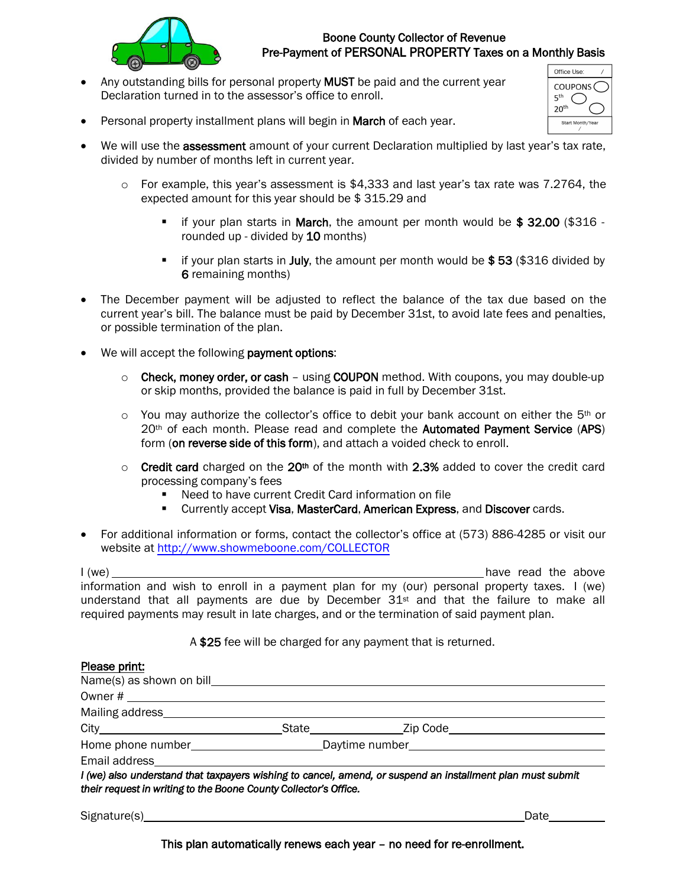

## Boone County Collector of Revenue Pre-Payment of PERSONAL PROPERTY Taxes on a Monthly Basis

Any outstanding bills for personal property MUST be paid and the current year Declaration turned in to the assessor's office to enroll.

| Office Use:                               |  |
|-------------------------------------------|--|
| <b>COUPONS</b><br>ςth<br>20 <sup>th</sup> |  |
| Start Month/Year                          |  |

- Personal property installment plans will begin in March of each year.
- We will use the **assessment** amount of your current Declaration multiplied by last year's tax rate, divided by number of months left in current year.
	- o For example, this year's assessment is \$4,333 and last year's tax rate was 7.2764, the expected amount for this year should be \$ 315.29 and
		- **.** if your plan starts in March, the amount per month would be  $$32.00$  ( $$316$  rounded up - divided by 10 months)
		- **.** if your plan starts in **July**, the amount per month would be  $$53$  (\$316 divided by 6 remaining months)
- The December payment will be adjusted to reflect the balance of the tax due based on the current year's bill. The balance must be paid by December 31st, to avoid late fees and penalties, or possible termination of the plan.
- We will accept the following **payment options:** 
	- $\circ$  Check, money order, or cash using COUPON method. With coupons, you may double-up or skip months, provided the balance is paid in full by December 31st.
	- $\circ$  You may authorize the collector's office to debit your bank account on either the 5<sup>th</sup> or 20<sup>th</sup> of each month. Please read and complete the Automated Payment Service (APS) form (on reverse side of this form), and attach a voided check to enroll.
	- $\circ$  Credit card charged on the 20<sup>th</sup> of the month with 2.3% added to cover the credit card processing company's fees
		- Need to have current Credit Card information on file
		- **EXECUTE: Currently accept Visa, MasterCard, American Express, and Discover cards.**
- For additional information or forms, contact the collector's office at (573) 886-4285 or visit our website at<http://www.showmeboone.com/COLLECTOR>

I (we) have read the above the above the above the above the above the above the above the above the above the above the above the structure of the above the above the structure of the structure of the structure of the str information and wish to enroll in a payment plan for my (our) personal property taxes. I (we) understand that all payments are due by December  $31^{st}$  and that the failure to make all required payments may result in late charges, and or the termination of said payment plan.

A \$25 fee will be charged for any payment that is returned.

| Name(s) as shown on bill example the Name (s)                    |                                                                                                            |
|------------------------------------------------------------------|------------------------------------------------------------------------------------------------------------|
|                                                                  |                                                                                                            |
|                                                                  |                                                                                                            |
|                                                                  |                                                                                                            |
|                                                                  | Home phone number______________________________Daytime number____________________                          |
|                                                                  |                                                                                                            |
| their request in writing to the Boone County Collector's Office. | I (we) also understand that taxpayers wishing to cancel, amend, or suspend an installment plan must submit |
|                                                                  |                                                                                                            |

Signature(s) Date Date of the Contract of the Contract of the Contract of the Date Date Date of the Contract of the Contract of the Contract of the Contract of the Contract of the Contract of the Contract of the Contract o

This plan automatically renews each year – no need for re-enrollment.